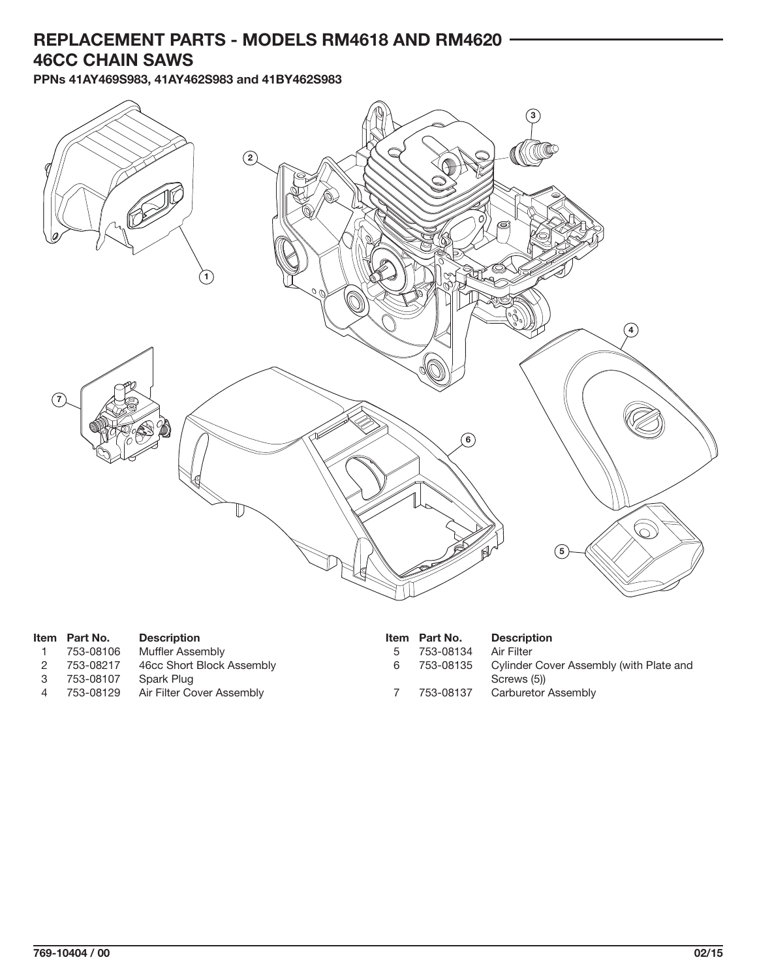## **REPLACEMENT PARTS - MODELS RM4618 AND RM4620 46CC CHAIN SAWS**

**PPNs 41AY469S983, 41AY462S983 and 41BY462S983**



|   | Item Part No. | <b>Description</b>        |   | Item Part No. | <b>Description</b>                      |
|---|---------------|---------------------------|---|---------------|-----------------------------------------|
|   | 753-08106     | Muffler Assembly          |   | 753-08134     | Air Filter                              |
|   | 753-08217     | 46cc Short Block Assembly | 6 | 753-08135     | Cylinder Cover Assembly (with Plate and |
| 3 | 753-08107     | Spark Plug                |   |               | Screws (5))                             |
|   | 753-08129     | Air Filter Cover Assembly |   | 753-08137     | Carburetor Assembly                     |
|   |               |                           |   |               |                                         |